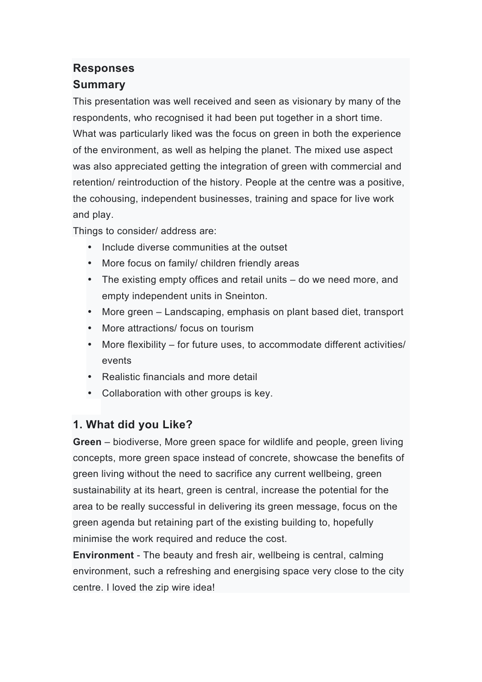## **Responses**

#### **Summary**

This presentation was well received and seen as visionary by many of the respondents, who recognised it had been put together in a short time. What was particularly liked was the focus on green in both the experience of the environment, as well as helping the planet. The mixed use aspect was also appreciated getting the integration of green with commercial and retention/ reintroduction of the history. People at the centre was a positive, the cohousing, independent businesses, training and space for live work and play.

Things to consider/ address are:

- Include diverse communities at the outset
- More focus on family/ children friendly areas
- The existing empty offices and retail units do we need more, and empty independent units in Sneinton.
- More green Landscaping, emphasis on plant based diet, transport
- More attractions/ focus on tourism
- More flexibility for future uses, to accommodate different activities/ events
- Realistic financials and more detail
- Collaboration with other groups is key.

#### **1. What did you Like?**

**Green** – biodiverse, More green space for wildlife and people, green living concepts, more green space instead of concrete, showcase the benefits of green living without the need to sacrifice any current wellbeing, green sustainability at its heart, green is central, increase the potential for the area to be really successful in delivering its green message, focus on the green agenda but retaining part of the existing building to, hopefully minimise the work required and reduce the cost.

**Environment** - The beauty and fresh air, wellbeing is central, calming environment, such a refreshing and energising space very close to the city centre. I loved the zip wire idea!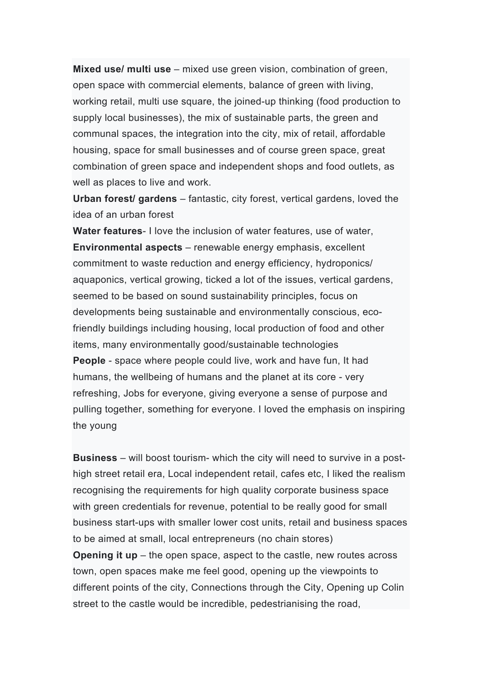**Mixed use/ multi use** – mixed use green vision, combination of green, open space with commercial elements, balance of green with living, working retail, multi use square, the joined-up thinking (food production to supply local businesses), the mix of sustainable parts, the green and communal spaces, the integration into the city, mix of retail, affordable housing, space for small businesses and of course green space, great combination of green space and independent shops and food outlets, as well as places to live and work.

**Urban forest/ gardens** – fantastic, city forest, vertical gardens, loved the idea of an urban forest

**Water features**- I love the inclusion of water features, use of water, **Environmental aspects** – renewable energy emphasis, excellent commitment to waste reduction and energy efficiency, hydroponics/ aquaponics, vertical growing, ticked a lot of the issues, vertical gardens, seemed to be based on sound sustainability principles, focus on developments being sustainable and environmentally conscious, ecofriendly buildings including housing, local production of food and other items, many environmentally good/sustainable technologies **People** - space where people could live, work and have fun, It had humans, the wellbeing of humans and the planet at its core - very refreshing, Jobs for everyone, giving everyone a sense of purpose and pulling together, something for everyone. I loved the emphasis on inspiring the young

**Business** – will boost tourism- which the city will need to survive in a posthigh street retail era, Local independent retail, cafes etc, I liked the realism recognising the requirements for high quality corporate business space with green credentials for revenue, potential to be really good for small business start-ups with smaller lower cost units, retail and business spaces to be aimed at small, local entrepreneurs (no chain stores) **Opening it up** – the open space, aspect to the castle, new routes across town, open spaces make me feel good, opening up the viewpoints to different points of the city, Connections through the City, Opening up Colin street to the castle would be incredible, pedestrianising the road,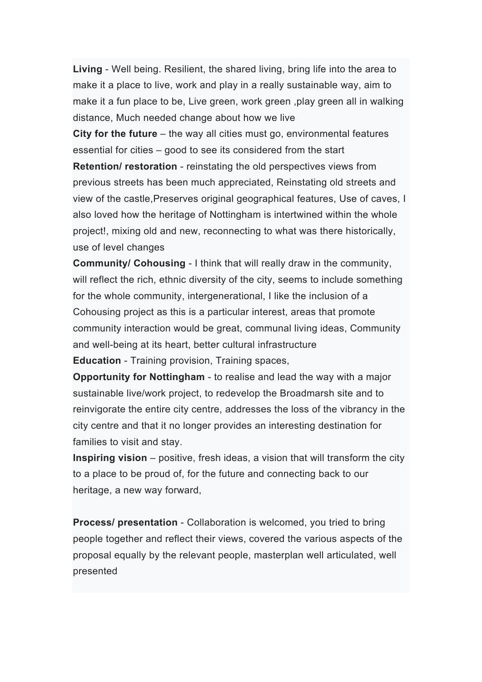**Living** - Well being. Resilient, the shared living, bring life into the area to make it a place to live, work and play in a really sustainable way, aim to make it a fun place to be, Live green, work green ,play green all in walking distance, Much needed change about how we live

**City for the future** – the way all cities must go, environmental features essential for cities – good to see its considered from the start

**Retention/ restoration** - reinstating the old perspectives views from previous streets has been much appreciated, Reinstating old streets and view of the castle,Preserves original geographical features, Use of caves, I also loved how the heritage of Nottingham is intertwined within the whole project!, mixing old and new, reconnecting to what was there historically, use of level changes

**Community/ Cohousing** - I think that will really draw in the community, will reflect the rich, ethnic diversity of the city, seems to include something for the whole community, intergenerational, I like the inclusion of a Cohousing project as this is a particular interest, areas that promote community interaction would be great, communal living ideas, Community and well-being at its heart, better cultural infrastructure **Education** - Training provision, Training spaces,

**Opportunity for Nottingham** - to realise and lead the way with a major sustainable live/work project, to redevelop the Broadmarsh site and to reinvigorate the entire city centre, addresses the loss of the vibrancy in the city centre and that it no longer provides an interesting destination for families to visit and stay.

**Inspiring vision** – positive, fresh ideas, a vision that will transform the city to a place to be proud of, for the future and connecting back to our heritage, a new way forward,

**Process/ presentation** - Collaboration is welcomed, you tried to bring people together and reflect their views, covered the various aspects of the proposal equally by the relevant people, masterplan well articulated, well presented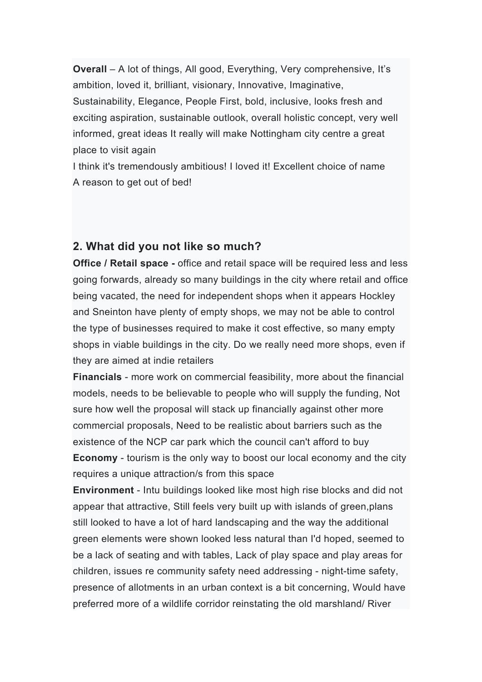**Overall** – A lot of things, All good, Everything, Very comprehensive, It's ambition, loved it, brilliant, visionary, Innovative, Imaginative, Sustainability, Elegance, People First, bold, inclusive, looks fresh and exciting aspiration, sustainable outlook, overall holistic concept, very well informed, great ideas It really will make Nottingham city centre a great place to visit again

I think it's tremendously ambitious! I loved it! Excellent choice of name A reason to get out of bed!

#### **2. What did you not like so much?**

**Office / Retail space -** office and retail space will be required less and less going forwards, already so many buildings in the city where retail and office being vacated, the need for independent shops when it appears Hockley and Sneinton have plenty of empty shops, we may not be able to control the type of businesses required to make it cost effective, so many empty shops in viable buildings in the city. Do we really need more shops, even if they are aimed at indie retailers

**Financials** - more work on commercial feasibility, more about the financial models, needs to be believable to people who will supply the funding, Not sure how well the proposal will stack up financially against other more commercial proposals, Need to be realistic about barriers such as the existence of the NCP car park which the council can't afford to buy **Economy** - tourism is the only way to boost our local economy and the city requires a unique attraction/s from this space

**Environment** - Intu buildings looked like most high rise blocks and did not appear that attractive, Still feels very built up with islands of green,plans still looked to have a lot of hard landscaping and the way the additional green elements were shown looked less natural than I'd hoped, seemed to be a lack of seating and with tables, Lack of play space and play areas for children, issues re community safety need addressing - night-time safety, presence of allotments in an urban context is a bit concerning, Would have preferred more of a wildlife corridor reinstating the old marshland/ River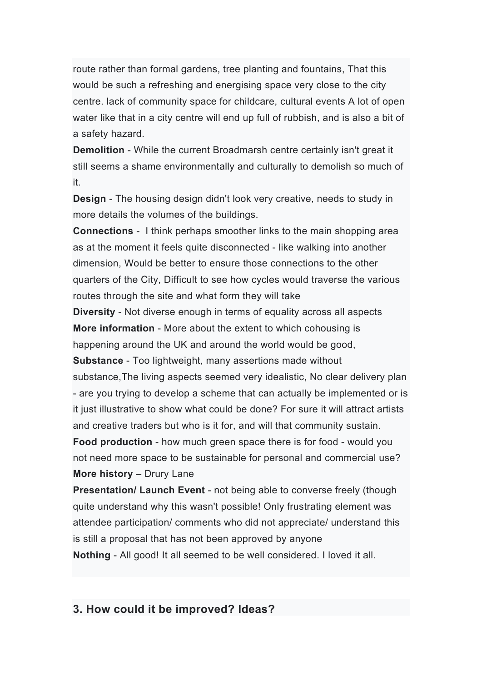route rather than formal gardens, tree planting and fountains, That this would be such a refreshing and energising space very close to the city centre. lack of community space for childcare, cultural events A lot of open water like that in a city centre will end up full of rubbish, and is also a bit of a safety hazard.

**Demolition** - While the current Broadmarsh centre certainly isn't great it still seems a shame environmentally and culturally to demolish so much of it.

**Design** - The housing design didn't look very creative, needs to study in more details the volumes of the buildings.

**Connections** - I think perhaps smoother links to the main shopping area as at the moment it feels quite disconnected - like walking into another dimension, Would be better to ensure those connections to the other quarters of the City, Difficult to see how cycles would traverse the various routes through the site and what form they will take

**Diversity** - Not diverse enough in terms of equality across all aspects **More information** - More about the extent to which cohousing is happening around the UK and around the world would be good,

**Substance** - Too lightweight, many assertions made without

substance,The living aspects seemed very idealistic, No clear delivery plan - are you trying to develop a scheme that can actually be implemented or is it just illustrative to show what could be done? For sure it will attract artists and creative traders but who is it for, and will that community sustain.

**Food production** - how much green space there is for food - would you not need more space to be sustainable for personal and commercial use? **More history** – Drury Lane

**Presentation/ Launch Event** - not being able to converse freely (though quite understand why this wasn't possible! Only frustrating element was attendee participation/ comments who did not appreciate/ understand this is still a proposal that has not been approved by anyone

**Nothing** - All good! It all seemed to be well considered. I loved it all.

#### **3. How could it be improved? Ideas?**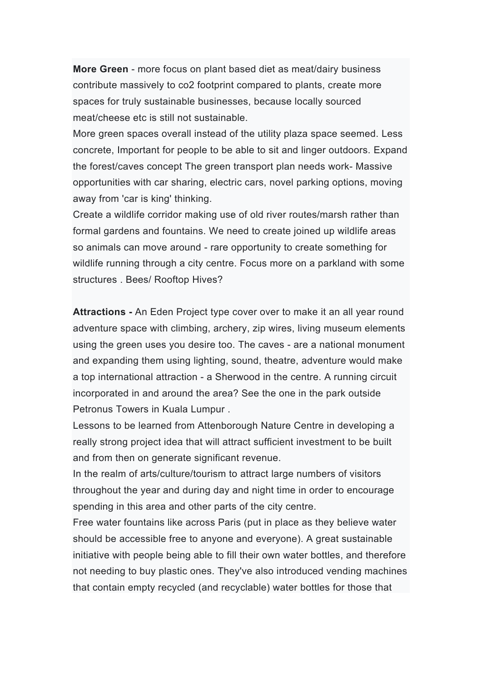**More Green** - more focus on plant based diet as meat/dairy business contribute massively to co2 footprint compared to plants, create more spaces for truly sustainable businesses, because locally sourced meat/cheese etc is still not sustainable.

More green spaces overall instead of the utility plaza space seemed. Less concrete, Important for people to be able to sit and linger outdoors. Expand the forest/caves concept The green transport plan needs work- Massive opportunities with car sharing, electric cars, novel parking options, moving away from 'car is king' thinking.

Create a wildlife corridor making use of old river routes/marsh rather than formal gardens and fountains. We need to create joined up wildlife areas so animals can move around - rare opportunity to create something for wildlife running through a city centre. Focus more on a parkland with some structures . Bees/ Rooftop Hives?

**Attractions -** An Eden Project type cover over to make it an all year round adventure space with climbing, archery, zip wires, living museum elements using the green uses you desire too. The caves - are a national monument and expanding them using lighting, sound, theatre, adventure would make a top international attraction - a Sherwood in the centre. A running circuit incorporated in and around the area? See the one in the park outside Petronus Towers in Kuala Lumpur .

Lessons to be learned from Attenborough Nature Centre in developing a really strong project idea that will attract sufficient investment to be built and from then on generate significant revenue.

In the realm of arts/culture/tourism to attract large numbers of visitors throughout the year and during day and night time in order to encourage spending in this area and other parts of the city centre.

Free water fountains like across Paris (put in place as they believe water should be accessible free to anyone and everyone). A great sustainable initiative with people being able to fill their own water bottles, and therefore not needing to buy plastic ones. They've also introduced vending machines that contain empty recycled (and recyclable) water bottles for those that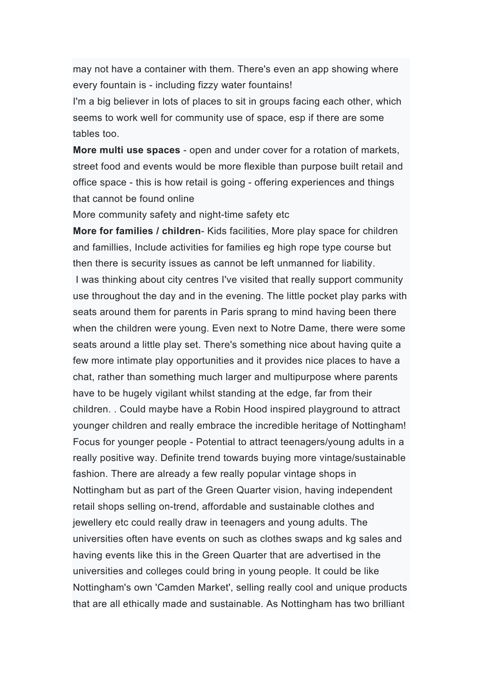may not have a container with them. There's even an app showing where every fountain is - including fizzy water fountains!

I'm a big believer in lots of places to sit in groups facing each other, which seems to work well for community use of space, esp if there are some tables too.

**More multi use spaces** - open and under cover for a rotation of markets, street food and events would be more flexible than purpose built retail and office space - this is how retail is going - offering experiences and things that cannot be found online

More community safety and night-time safety etc

**More for families / children**- Kids facilities, More play space for children and famillies, Include activities for families eg high rope type course but then there is security issues as cannot be left unmanned for liability. I was thinking about city centres I've visited that really support community use throughout the day and in the evening. The little pocket play parks with seats around them for parents in Paris sprang to mind having been there when the children were young. Even next to Notre Dame, there were some seats around a little play set. There's something nice about having quite a few more intimate play opportunities and it provides nice places to have a chat, rather than something much larger and multipurpose where parents have to be hugely vigilant whilst standing at the edge, far from their children. . Could maybe have a Robin Hood inspired playground to attract younger children and really embrace the incredible heritage of Nottingham! Focus for younger people - Potential to attract teenagers/young adults in a really positive way. Definite trend towards buying more vintage/sustainable fashion. There are already a few really popular vintage shops in Nottingham but as part of the Green Quarter vision, having independent retail shops selling on-trend, affordable and sustainable clothes and jewellery etc could really draw in teenagers and young adults. The universities often have events on such as clothes swaps and kg sales and having events like this in the Green Quarter that are advertised in the universities and colleges could bring in young people. It could be like Nottingham's own 'Camden Market', selling really cool and unique products that are all ethically made and sustainable. As Nottingham has two brilliant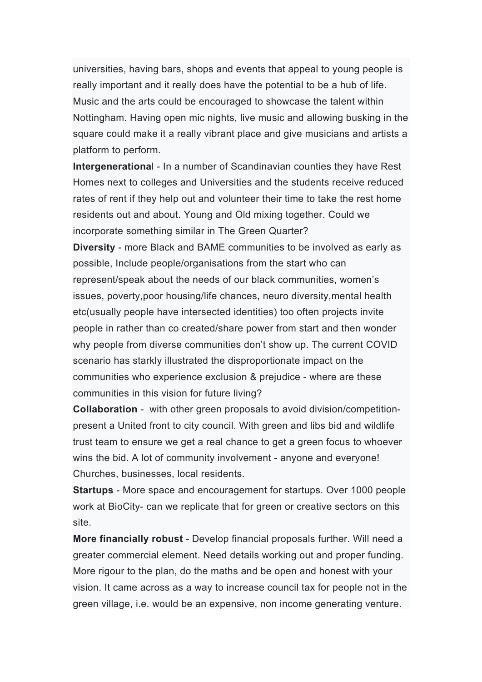universities, having bars, shops and events that appeal to young people is really important and it really does have the potential to be a hub of life. Music and the arts could be encouraged to showcase the talent within Nottingham. Having open mic nights, live music and allowing busking in the square could make it a really vibrant place and give musicians and artists a platform to perform.

**Intergenerationa**l - In a number of Scandinavian counties they have Rest Homes next to colleges and Universities and the students receive reduced rates of rent if they help out and volunteer their time to take the rest home residents out and about. Young and Old mixing together. Could we incorporate something similar in The Green Quarter?

**Diversity** - more Black and BAME communities to be involved as early as possible, Include people/organisations from the start who can represent/speak about the needs of our black communities, women's issues, poverty,poor housing/life chances, neuro diversity,mental health etc(usually people have intersected identities) too often projects invite people in rather than co created/share power from start and then wonder why people from diverse communities don't show up. The current COVID scenario has starkly illustrated the disproportionate impact on the communities who experience exclusion & prejudice - where are these communities in this vision for future living?

**Collaboration** - with other green proposals to avoid division/competitionpresent a United front to city council. With green and libs bid and wildlife trust team to ensure we get a real chance to get a green focus to whoever wins the bid. A lot of community involvement - anyone and everyone! Churches, businesses, local residents.

**Startups** - More space and encouragement for startups. Over 1000 people work at BioCity- can we replicate that for green or creative sectors on this site.

**More financially robust** - Develop financial proposals further. Will need a greater commercial element. Need details working out and proper funding. More rigour to the plan, do the maths and be open and honest with your vision. It came across as a way to increase council tax for people not in the green village, i.e. would be an expensive, non income generating venture.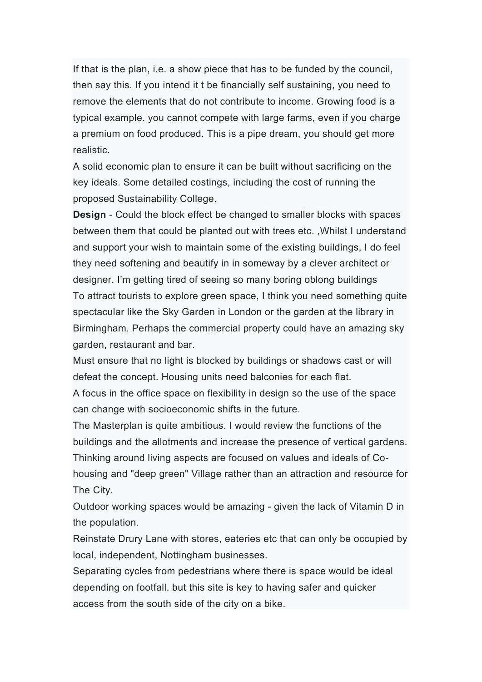If that is the plan, i.e. a show piece that has to be funded by the council, then say this. If you intend it t be financially self sustaining, you need to remove the elements that do not contribute to income. Growing food is a typical example. you cannot compete with large farms, even if you charge a premium on food produced. This is a pipe dream, you should get more realistic.

A solid economic plan to ensure it can be built without sacrificing on the key ideals. Some detailed costings, including the cost of running the proposed Sustainability College.

**Design** - Could the block effect be changed to smaller blocks with spaces between them that could be planted out with trees etc. ,Whilst I understand and support your wish to maintain some of the existing buildings, I do feel they need softening and beautify in in someway by a clever architect or designer. I'm getting tired of seeing so many boring oblong buildings To attract tourists to explore green space, I think you need something quite spectacular like the Sky Garden in London or the garden at the library in Birmingham. Perhaps the commercial property could have an amazing sky garden, restaurant and bar.

Must ensure that no light is blocked by buildings or shadows cast or will defeat the concept. Housing units need balconies for each flat.

A focus in the office space on flexibility in design so the use of the space can change with socioeconomic shifts in the future.

The Masterplan is quite ambitious. I would review the functions of the buildings and the allotments and increase the presence of vertical gardens. Thinking around living aspects are focused on values and ideals of Cohousing and "deep green" Village rather than an attraction and resource for The City.

Outdoor working spaces would be amazing - given the lack of Vitamin D in the population.

Reinstate Drury Lane with stores, eateries etc that can only be occupied by local, independent, Nottingham businesses.

Separating cycles from pedestrians where there is space would be ideal depending on footfall. but this site is key to having safer and quicker access from the south side of the city on a bike.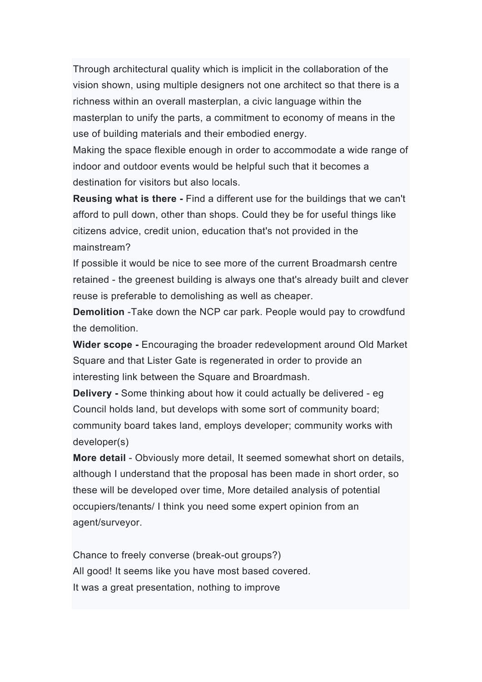Through architectural quality which is implicit in the collaboration of the vision shown, using multiple designers not one architect so that there is a richness within an overall masterplan, a civic language within the masterplan to unify the parts, a commitment to economy of means in the use of building materials and their embodied energy.

Making the space flexible enough in order to accommodate a wide range of indoor and outdoor events would be helpful such that it becomes a destination for visitors but also locals.

**Reusing what is there -** Find a different use for the buildings that we can't afford to pull down, other than shops. Could they be for useful things like citizens advice, credit union, education that's not provided in the mainstream?

If possible it would be nice to see more of the current Broadmarsh centre retained - the greenest building is always one that's already built and clever reuse is preferable to demolishing as well as cheaper.

**Demolition** -Take down the NCP car park. People would pay to crowdfund the demolition.

**Wider scope -** Encouraging the broader redevelopment around Old Market Square and that Lister Gate is regenerated in order to provide an interesting link between the Square and Broardmash.

**Delivery -** Some thinking about how it could actually be delivered - eg Council holds land, but develops with some sort of community board; community board takes land, employs developer; community works with developer(s)

**More detail** - Obviously more detail, It seemed somewhat short on details, although I understand that the proposal has been made in short order, so these will be developed over time, More detailed analysis of potential occupiers/tenants/ I think you need some expert opinion from an agent/surveyor.

Chance to freely converse (break-out groups?) All good! It seems like you have most based covered. It was a great presentation, nothing to improve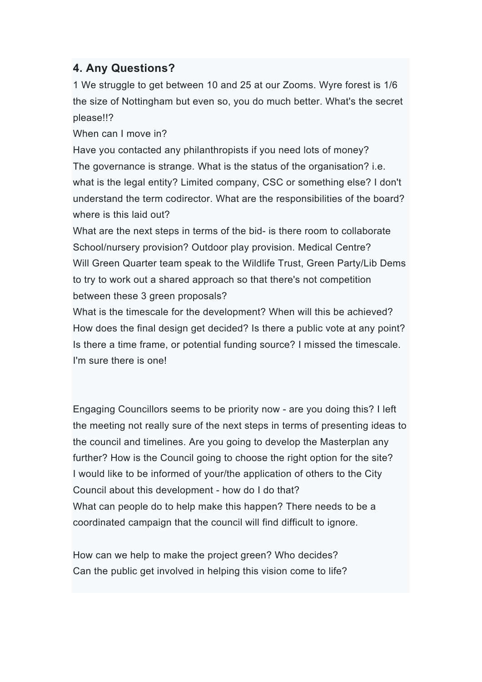#### **4. Any Questions?**

1 We struggle to get between 10 and 25 at our Zooms. Wyre forest is 1/6 the size of Nottingham but even so, you do much better. What's the secret please!!?

When can I move in?

Have you contacted any philanthropists if you need lots of money? The governance is strange. What is the status of the organisation? i.e. what is the legal entity? Limited company, CSC or something else? I don't understand the term codirector. What are the responsibilities of the board? where is this laid out?

What are the next steps in terms of the bid- is there room to collaborate School/nursery provision? Outdoor play provision. Medical Centre? Will Green Quarter team speak to the Wildlife Trust, Green Party/Lib Dems to try to work out a shared approach so that there's not competition between these 3 green proposals?

What is the timescale for the development? When will this be achieved? How does the final design get decided? Is there a public vote at any point? Is there a time frame, or potential funding source? I missed the timescale. I'm sure there is one!

Engaging Councillors seems to be priority now - are you doing this? I left the meeting not really sure of the next steps in terms of presenting ideas to the council and timelines. Are you going to develop the Masterplan any further? How is the Council going to choose the right option for the site? I would like to be informed of your/the application of others to the City Council about this development - how do I do that? What can people do to help make this happen? There needs to be a coordinated campaign that the council will find difficult to ignore.

How can we help to make the project green? Who decides? Can the public get involved in helping this vision come to life?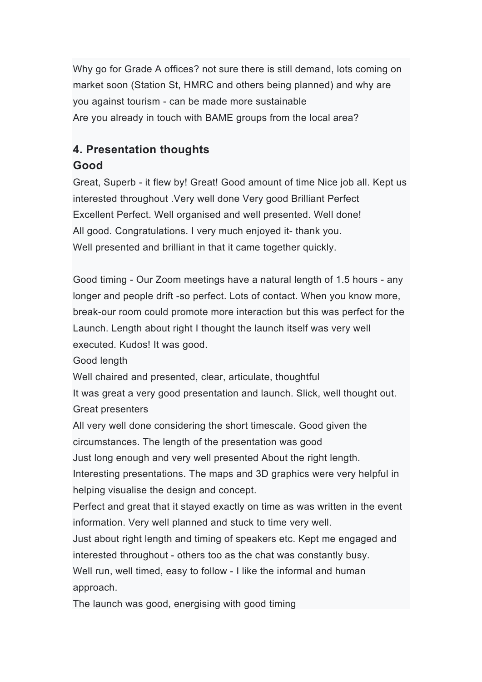Why go for Grade A offices? not sure there is still demand, lots coming on market soon (Station St, HMRC and others being planned) and why are you against tourism - can be made more sustainable Are you already in touch with BAME groups from the local area?

# **4. Presentation thoughts**

### **Good**

Great, Superb - it flew by! Great! Good amount of time Nice job all. Kept us interested throughout .Very well done Very good Brilliant Perfect Excellent Perfect. Well organised and well presented. Well done! All good. Congratulations. I very much enjoyed it- thank you. Well presented and brilliant in that it came together quickly.

Good timing - Our Zoom meetings have a natural length of 1.5 hours - any longer and people drift -so perfect. Lots of contact. When you know more, break-our room could promote more interaction but this was perfect for the Launch. Length about right I thought the launch itself was very well executed. Kudos! It was good.

Good length

Well chaired and presented, clear, articulate, thoughtful

It was great a very good presentation and launch. Slick, well thought out. Great presenters

All very well done considering the short timescale. Good given the circumstances. The length of the presentation was good

Just long enough and very well presented About the right length.

Interesting presentations. The maps and 3D graphics were very helpful in helping visualise the design and concept.

Perfect and great that it stayed exactly on time as was written in the event information. Very well planned and stuck to time very well.

Just about right length and timing of speakers etc. Kept me engaged and interested throughout - others too as the chat was constantly busy. Well run, well timed, easy to follow - I like the informal and human approach.

The launch was good, energising with good timing